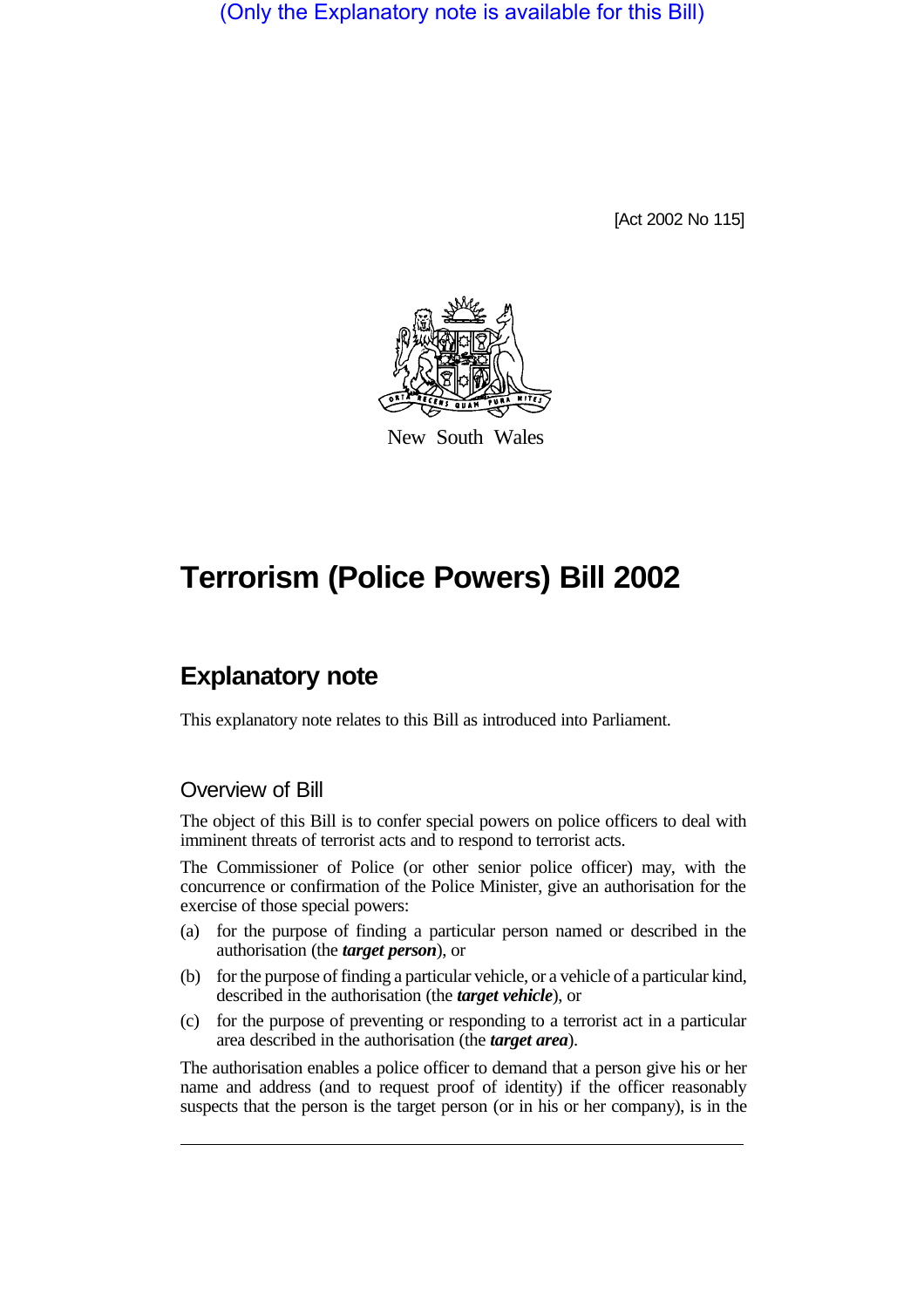(Only the Explanatory note is available for this Bill)

[Act 2002 No 115]



New South Wales

# **Terrorism (Police Powers) Bill 2002**

## **Explanatory note**

This explanatory note relates to this Bill as introduced into Parliament.

#### Overview of Bill

The object of this Bill is to confer special powers on police officers to deal with imminent threats of terrorist acts and to respond to terrorist acts.

The Commissioner of Police (or other senior police officer) may, with the concurrence or confirmation of the Police Minister, give an authorisation for the exercise of those special powers:

- (a) for the purpose of finding a particular person named or described in the authorisation (the *target person*), or
- (b) for the purpose of finding a particular vehicle, or a vehicle of a particular kind, described in the authorisation (the *target vehicle*), or
- (c) for the purpose of preventing or responding to a terrorist act in a particular area described in the authorisation (the *target area*).

The authorisation enables a police officer to demand that a person give his or her name and address (and to request proof of identity) if the officer reasonably suspects that the person is the target person (or in his or her company), is in the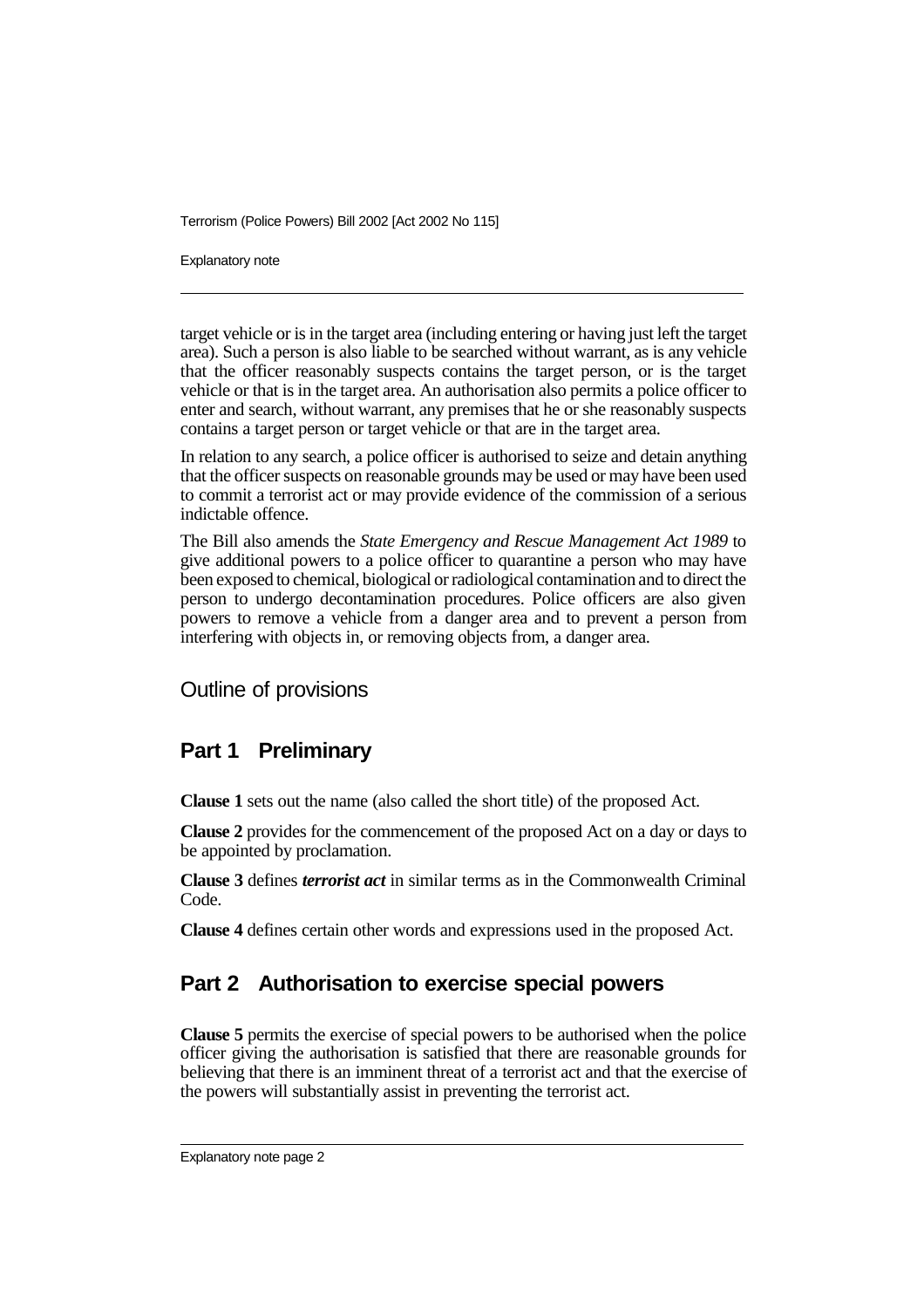Explanatory note

target vehicle or is in the target area (including entering or having just left the target area). Such a person is also liable to be searched without warrant, as is any vehicle that the officer reasonably suspects contains the target person, or is the target vehicle or that is in the target area. An authorisation also permits a police officer to enter and search, without warrant, any premises that he or she reasonably suspects contains a target person or target vehicle or that are in the target area.

In relation to any search, a police officer is authorised to seize and detain anything that the officer suspects on reasonable grounds may be used or may have been used to commit a terrorist act or may provide evidence of the commission of a serious indictable offence.

The Bill also amends the *State Emergency and Rescue Management Act 1989* to give additional powers to a police officer to quarantine a person who may have been exposed to chemical, biological or radiological contamination and to direct the person to undergo decontamination procedures. Police officers are also given powers to remove a vehicle from a danger area and to prevent a person from interfering with objects in, or removing objects from, a danger area.

Outline of provisions

#### **Part 1 Preliminary**

**Clause 1** sets out the name (also called the short title) of the proposed Act.

**Clause 2** provides for the commencement of the proposed Act on a day or days to be appointed by proclamation.

**Clause 3** defines *terrorist act* in similar terms as in the Commonwealth Criminal Code.

**Clause 4** defines certain other words and expressions used in the proposed Act.

### **Part 2 Authorisation to exercise special powers**

**Clause 5** permits the exercise of special powers to be authorised when the police officer giving the authorisation is satisfied that there are reasonable grounds for believing that there is an imminent threat of a terrorist act and that the exercise of the powers will substantially assist in preventing the terrorist act.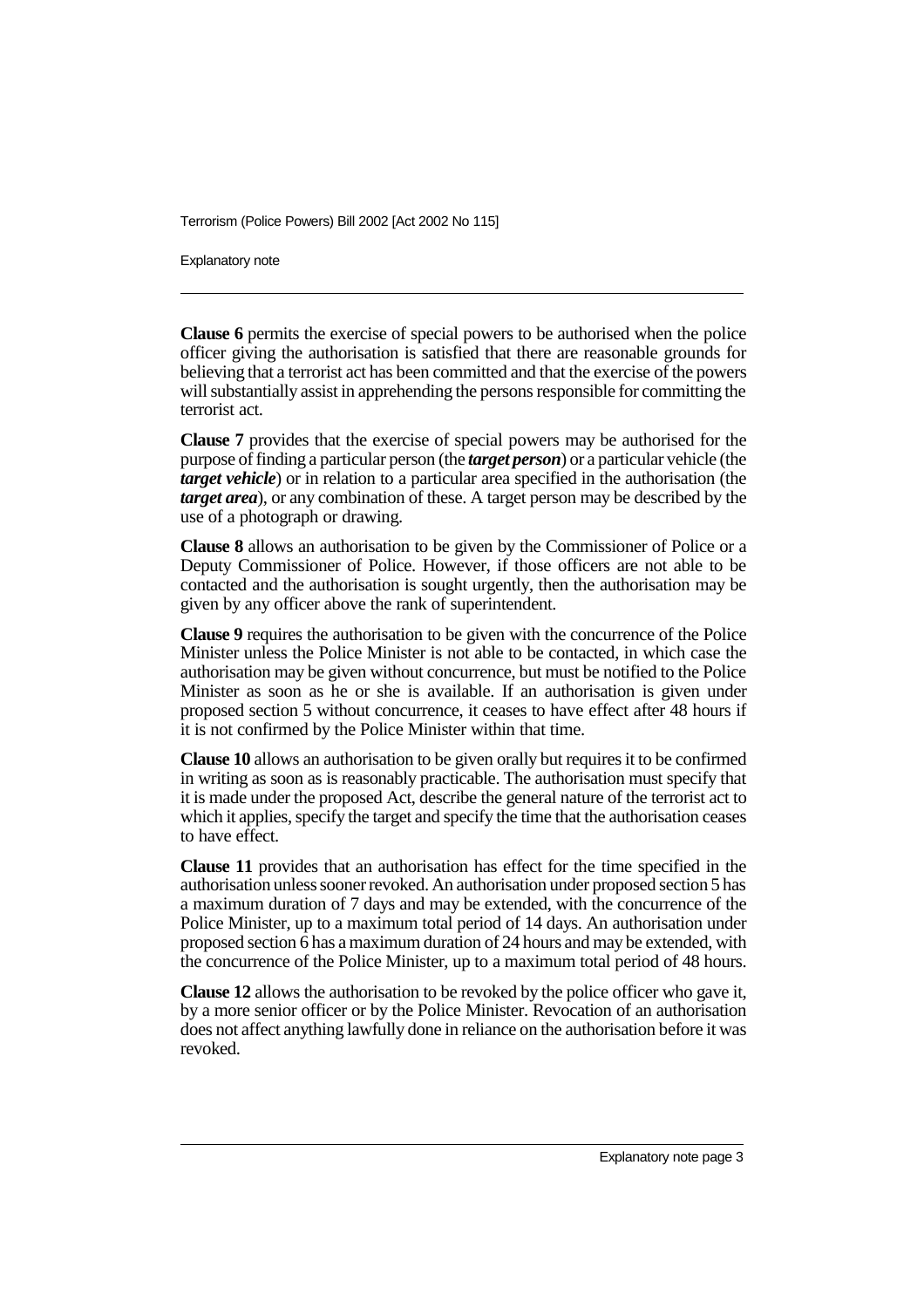Explanatory note

**Clause 6** permits the exercise of special powers to be authorised when the police officer giving the authorisation is satisfied that there are reasonable grounds for believing that a terrorist act has been committed and that the exercise of the powers will substantially assist in apprehending the persons responsible for committing the terrorist act.

**Clause 7** provides that the exercise of special powers may be authorised for the purpose of finding a particular person (the *target person*) or a particular vehicle (the *target vehicle*) or in relation to a particular area specified in the authorisation (the *target area*), or any combination of these. A target person may be described by the use of a photograph or drawing.

**Clause 8** allows an authorisation to be given by the Commissioner of Police or a Deputy Commissioner of Police. However, if those officers are not able to be contacted and the authorisation is sought urgently, then the authorisation may be given by any officer above the rank of superintendent.

**Clause 9** requires the authorisation to be given with the concurrence of the Police Minister unless the Police Minister is not able to be contacted, in which case the authorisation may be given without concurrence, but must be notified to the Police Minister as soon as he or she is available. If an authorisation is given under proposed section 5 without concurrence, it ceases to have effect after 48 hours if it is not confirmed by the Police Minister within that time.

**Clause 10** allows an authorisation to be given orally but requires it to be confirmed in writing as soon as is reasonably practicable. The authorisation must specify that it is made under the proposed Act, describe the general nature of the terrorist act to which it applies, specify the target and specify the time that the authorisation ceases to have effect.

**Clause 11** provides that an authorisation has effect for the time specified in the authorisation unless sooner revoked. An authorisation under proposed section 5 has a maximum duration of 7 days and may be extended, with the concurrence of the Police Minister, up to a maximum total period of 14 days. An authorisation under proposed section  $\overline{6}$  has a maximum duration of 24 hours and may be extended, with the concurrence of the Police Minister, up to a maximum total period of 48 hours.

**Clause 12** allows the authorisation to be revoked by the police officer who gave it, by a more senior officer or by the Police Minister. Revocation of an authorisation does not affect anything lawfully done in reliance on the authorisation before it was revoked.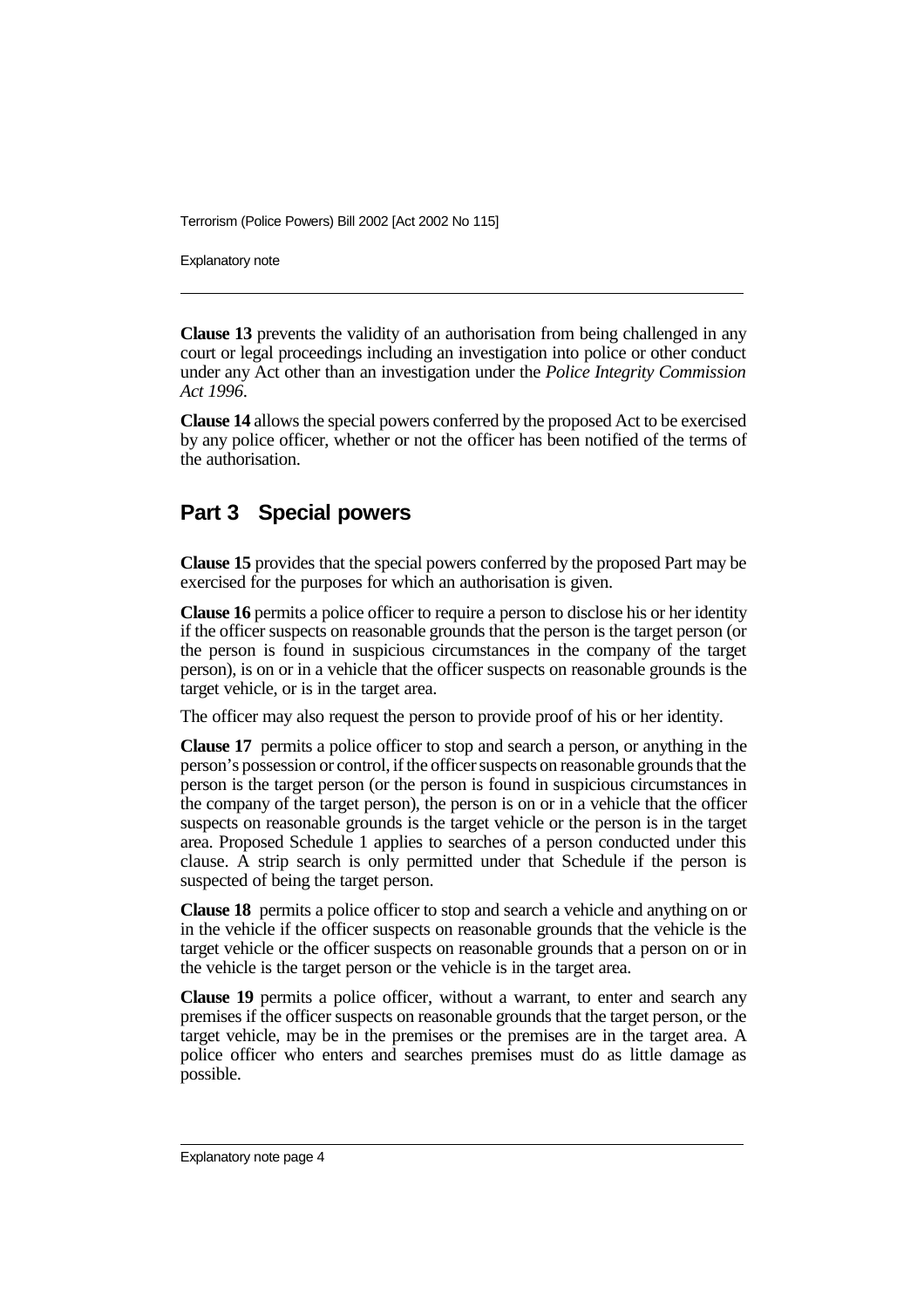Explanatory note

**Clause 13** prevents the validity of an authorisation from being challenged in any court or legal proceedings including an investigation into police or other conduct under any Act other than an investigation under the *Police Integrity Commission Act 1996*.

**Clause 14** allows the special powers conferred by the proposed Act to be exercised by any police officer, whether or not the officer has been notified of the terms of the authorisation.

#### **Part 3 Special powers**

**Clause 15** provides that the special powers conferred by the proposed Part may be exercised for the purposes for which an authorisation is given.

**Clause 16** permits a police officer to require a person to disclose his or her identity if the officer suspects on reasonable grounds that the person is the target person (or the person is found in suspicious circumstances in the company of the target person), is on or in a vehicle that the officer suspects on reasonable grounds is the target vehicle, or is in the target area.

The officer may also request the person to provide proof of his or her identity.

**Clause 17** permits a police officer to stop and search a person, or anything in the person's possession or control, if the officer suspects on reasonable grounds that the person is the target person (or the person is found in suspicious circumstances in the company of the target person), the person is on or in a vehicle that the officer suspects on reasonable grounds is the target vehicle or the person is in the target area. Proposed Schedule 1 applies to searches of a person conducted under this clause. A strip search is only permitted under that Schedule if the person is suspected of being the target person.

**Clause 18** permits a police officer to stop and search a vehicle and anything on or in the vehicle if the officer suspects on reasonable grounds that the vehicle is the target vehicle or the officer suspects on reasonable grounds that a person on or in the vehicle is the target person or the vehicle is in the target area.

**Clause 19** permits a police officer, without a warrant, to enter and search any premises if the officer suspects on reasonable grounds that the target person, or the target vehicle, may be in the premises or the premises are in the target area. A police officer who enters and searches premises must do as little damage as possible.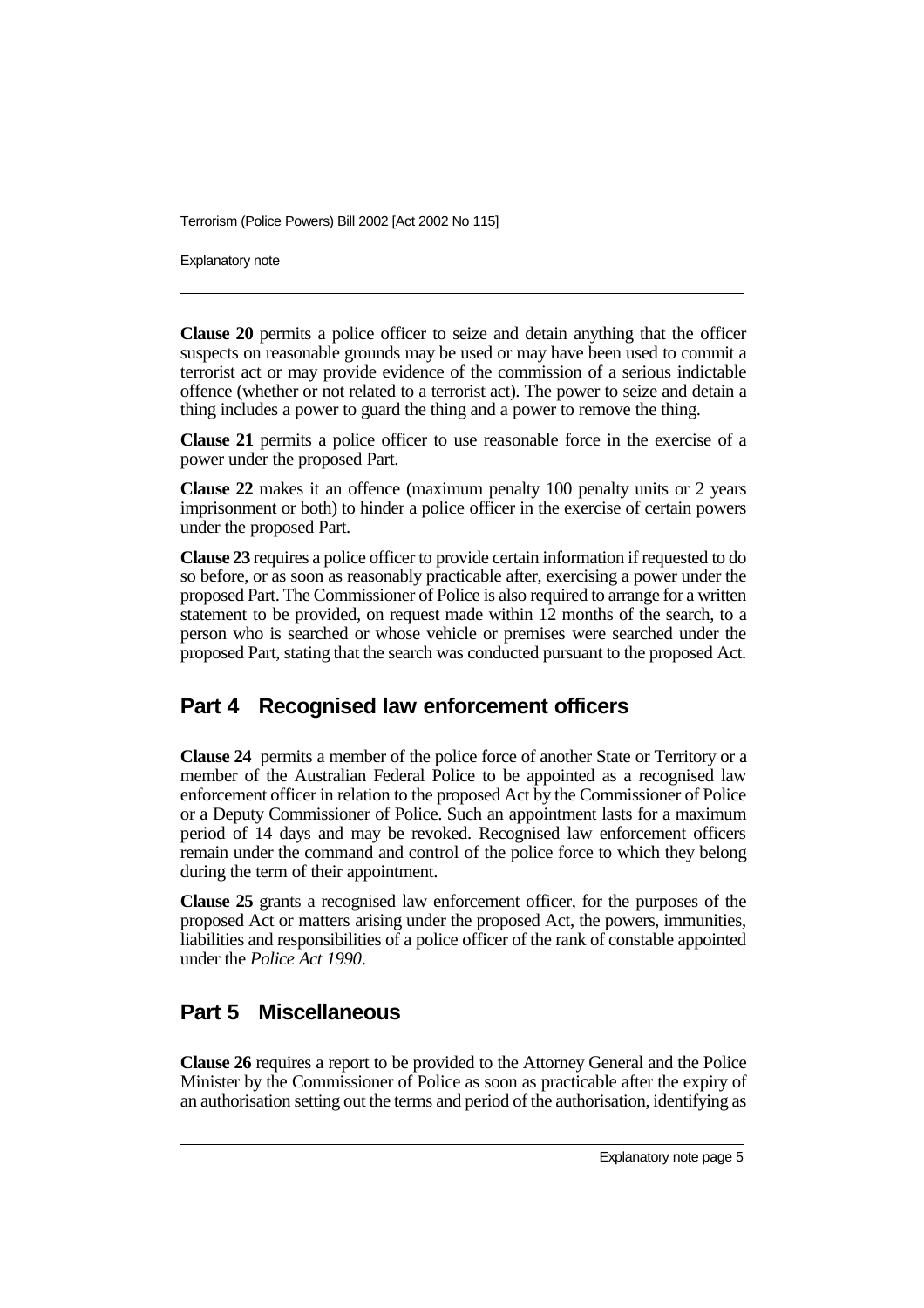Explanatory note

**Clause 20** permits a police officer to seize and detain anything that the officer suspects on reasonable grounds may be used or may have been used to commit a terrorist act or may provide evidence of the commission of a serious indictable offence (whether or not related to a terrorist act). The power to seize and detain a thing includes a power to guard the thing and a power to remove the thing.

**Clause 21** permits a police officer to use reasonable force in the exercise of a power under the proposed Part.

**Clause 22** makes it an offence (maximum penalty 100 penalty units or 2 years imprisonment or both) to hinder a police officer in the exercise of certain powers under the proposed Part.

**Clause 23** requires a police officer to provide certain information if requested to do so before, or as soon as reasonably practicable after, exercising a power under the proposed Part. The Commissioner of Police is also required to arrange for a written statement to be provided, on request made within 12 months of the search, to a person who is searched or whose vehicle or premises were searched under the proposed Part, stating that the search was conducted pursuant to the proposed Act.

#### **Part 4 Recognised law enforcement officers**

**Clause 24** permits a member of the police force of another State or Territory or a member of the Australian Federal Police to be appointed as a recognised law enforcement officer in relation to the proposed Act by the Commissioner of Police or a Deputy Commissioner of Police. Such an appointment lasts for a maximum period of 14 days and may be revoked. Recognised law enforcement officers remain under the command and control of the police force to which they belong during the term of their appointment.

**Clause 25** grants a recognised law enforcement officer, for the purposes of the proposed Act or matters arising under the proposed Act, the powers, immunities, liabilities and responsibilities of a police officer of the rank of constable appointed under the *Police Act 1990*.

### **Part 5 Miscellaneous**

**Clause 26** requires a report to be provided to the Attorney General and the Police Minister by the Commissioner of Police as soon as practicable after the expiry of an authorisation setting out the terms and period of the authorisation, identifying as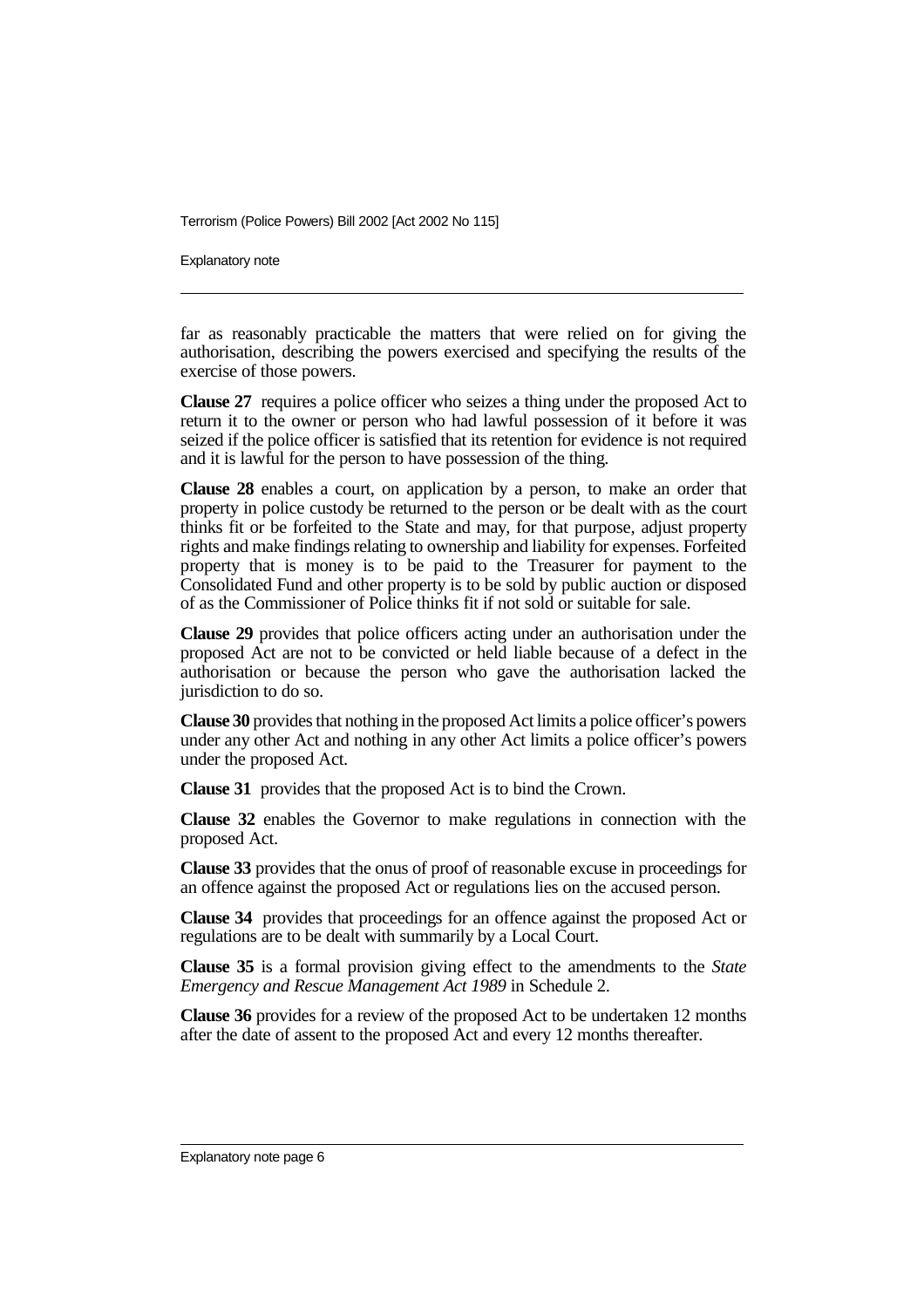Explanatory note

far as reasonably practicable the matters that were relied on for giving the authorisation, describing the powers exercised and specifying the results of the exercise of those powers.

**Clause 27** requires a police officer who seizes a thing under the proposed Act to return it to the owner or person who had lawful possession of it before it was seized if the police officer is satisfied that its retention for evidence is not required and it is lawful for the person to have possession of the thing.

**Clause 28** enables a court, on application by a person, to make an order that property in police custody be returned to the person or be dealt with as the court thinks fit or be forfeited to the State and may, for that purpose, adjust property rights and make findings relating to ownership and liability for expenses. Forfeited property that is money is to be paid to the Treasurer for payment to the Consolidated Fund and other property is to be sold by public auction or disposed of as the Commissioner of Police thinks fit if not sold or suitable for sale.

**Clause 29** provides that police officers acting under an authorisation under the proposed Act are not to be convicted or held liable because of a defect in the authorisation or because the person who gave the authorisation lacked the jurisdiction to do so.

**Clause 30** provides that nothing in the proposed Act limits a police officer's powers under any other Act and nothing in any other Act limits a police officer's powers under the proposed Act.

**Clause 31** provides that the proposed Act is to bind the Crown.

**Clause 32** enables the Governor to make regulations in connection with the proposed Act.

**Clause 33** provides that the onus of proof of reasonable excuse in proceedings for an offence against the proposed Act or regulations lies on the accused person.

**Clause 34** provides that proceedings for an offence against the proposed Act or regulations are to be dealt with summarily by a Local Court.

**Clause 35** is a formal provision giving effect to the amendments to the *State Emergency and Rescue Management Act 1989* in Schedule 2.

**Clause 36** provides for a review of the proposed Act to be undertaken 12 months after the date of assent to the proposed Act and every 12 months thereafter.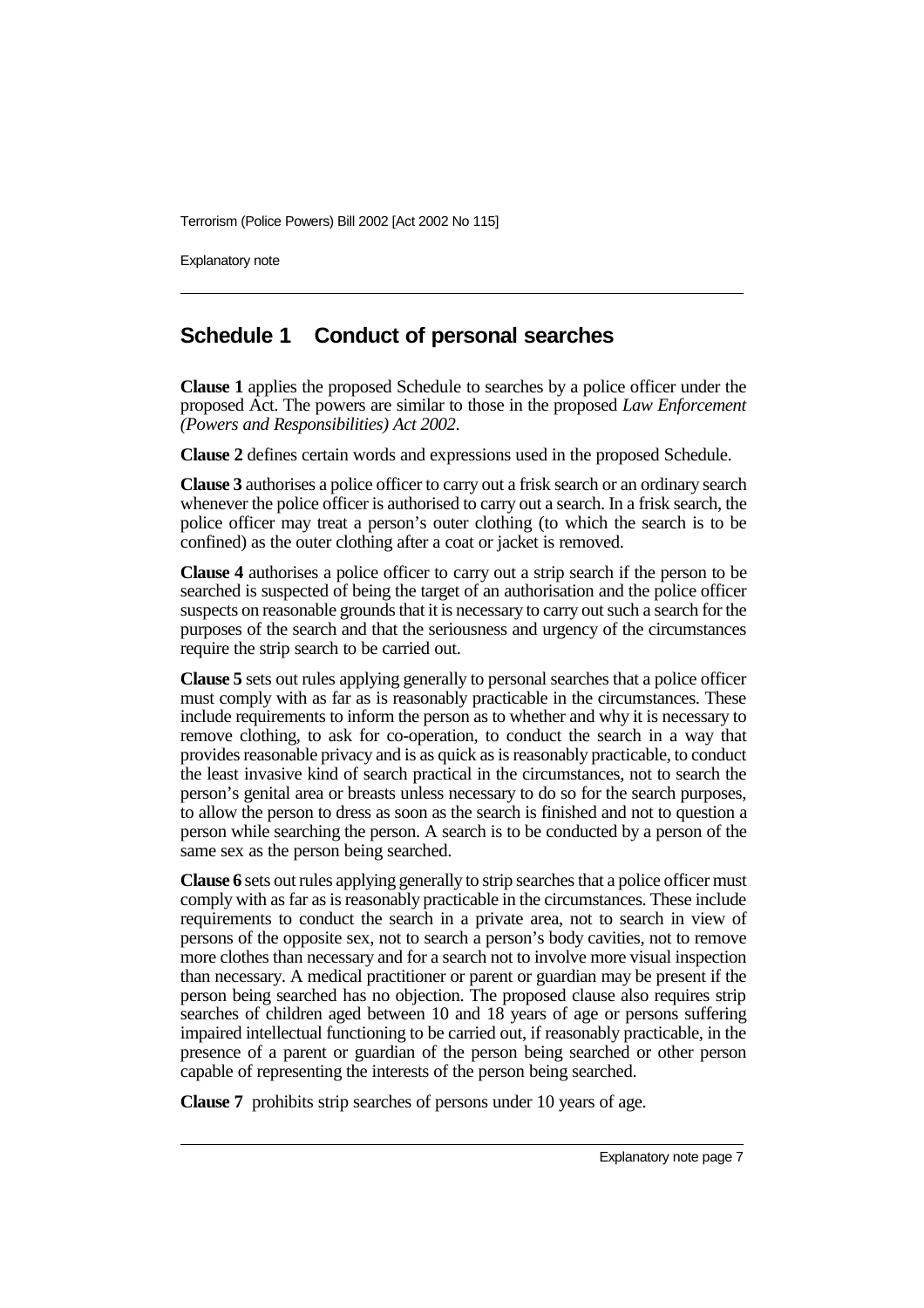Explanatory note

#### **Schedule 1 Conduct of personal searches**

**Clause 1** applies the proposed Schedule to searches by a police officer under the proposed Act. The powers are similar to those in the proposed *Law Enforcement (Powers and Responsibilities) Act 2002*.

**Clause 2** defines certain words and expressions used in the proposed Schedule.

**Clause 3** authorises a police officer to carry out a frisk search or an ordinary search whenever the police officer is authorised to carry out a search. In a frisk search, the police officer may treat a person's outer clothing (to which the search is to be confined) as the outer clothing after a coat or jacket is removed.

**Clause 4** authorises a police officer to carry out a strip search if the person to be searched is suspected of being the target of an authorisation and the police officer suspects on reasonable grounds that it is necessary to carry out such a search for the purposes of the search and that the seriousness and urgency of the circumstances require the strip search to be carried out.

**Clause 5** sets out rules applying generally to personal searches that a police officer must comply with as far as is reasonably practicable in the circumstances. These include requirements to inform the person as to whether and why it is necessary to remove clothing, to ask for co-operation, to conduct the search in a way that provides reasonable privacy and is as quick as is reasonably practicable, to conduct the least invasive kind of search practical in the circumstances, not to search the person's genital area or breasts unless necessary to do so for the search purposes, to allow the person to dress as soon as the search is finished and not to question a person while searching the person. A search is to be conducted by a person of the same sex as the person being searched.

**Clause 6** sets out rules applying generally to strip searches that a police officer must comply with as far as is reasonably practicable in the circumstances. These include requirements to conduct the search in a private area, not to search in view of persons of the opposite sex, not to search a person's body cavities, not to remove more clothes than necessary and for a search not to involve more visual inspection than necessary. A medical practitioner or parent or guardian may be present if the person being searched has no objection. The proposed clause also requires strip searches of children aged between 10 and 18 years of age or persons suffering impaired intellectual functioning to be carried out, if reasonably practicable, in the presence of a parent or guardian of the person being searched or other person capable of representing the interests of the person being searched.

**Clause 7** prohibits strip searches of persons under 10 years of age.